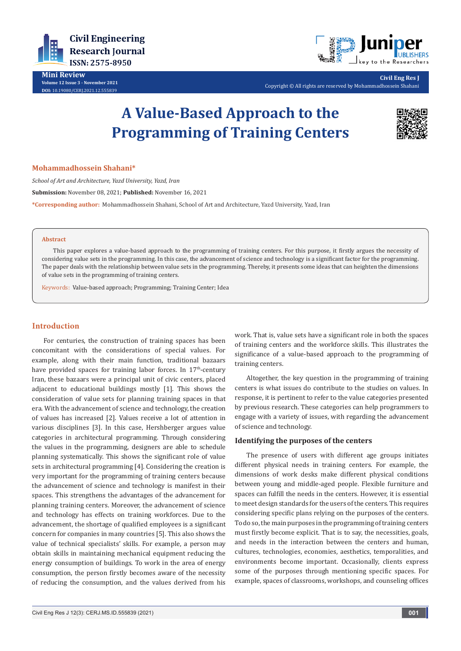

**Mini Review Volume 12 Issue 3 - November 2021 DOI:** [10.19080/CERJ.2021.12.55583](http://dx.doi.org/10.19080/CERJ.2021.12.555839)9



**Civil Eng Res J** Copyright © All rights are reserved by Mohammadhossein Shahani

# **A Value-Based Approach to the Programming of Training Centers**



### **Mohammadhossein Shahani\***

*School of Art and Architecture, Yazd University, Yazd, Iran* **Submission:** November 08, 2021; **Published:** November 16, 2021 **\*Corresponding author:** Mohammadhossein Shahani, School of Art and Architecture, Yazd University, Yazd, Iran

#### **Abstract**

This paper explores a value-based approach to the programming of training centers. For this purpose, it firstly argues the necessity of considering value sets in the programming. In this case, the advancement of science and technology is a significant factor for the programming. The paper deals with the relationship between value sets in the programming. Thereby, it presents some ideas that can heighten the dimensions of value sets in the programming of training centers.

Keywords: Value-based approach; Programming; Training Center; Idea

## **Introduction**

For centuries, the construction of training spaces has been concomitant with the considerations of special values. For example, along with their main function, traditional bazaars have provided spaces for training labor forces. In  $17<sup>th</sup>$ -century Iran, these bazaars were a principal unit of civic centers, placed adjacent to educational buildings mostly [1]. This shows the consideration of value sets for planning training spaces in that era. With the advancement of science and technology, the creation of values has increased [2]. Values receive a lot of attention in various disciplines [3]. In this case, Hershberger argues value categories in architectural programming. Through considering the values in the programming, designers are able to schedule planning systematically. This shows the significant role of value sets in architectural programming [4]. Considering the creation is very important for the programming of training centers because the advancement of science and technology is manifest in their spaces. This strengthens the advantages of the advancement for planning training centers. Moreover, the advancement of science and technology has effects on training workforces. Due to the advancement, the shortage of qualified employees is a significant concern for companies in many countries [5]. This also shows the value of technical specialists' skills. For example, a person may obtain skills in maintaining mechanical equipment reducing the energy consumption of buildings. To work in the area of energy consumption, the person firstly becomes aware of the necessity of reducing the consumption, and the values derived from his

work. That is, value sets have a significant role in both the spaces of training centers and the workforce skills. This illustrates the significance of a value-based approach to the programming of training centers.

Altogether, the key question in the programming of training centers is what issues do contribute to the studies on values. In response, it is pertinent to refer to the value categories presented by previous research. These categories can help programmers to engage with a variety of issues, with regarding the advancement of science and technology.

#### **Identifying the purposes of the centers**

The presence of users with different age groups initiates different physical needs in training centers. For example, the dimensions of work desks make different physical conditions between young and middle-aged people. Flexible furniture and spaces can fulfill the needs in the centers. However, it is essential to meet design standards for the users of the centers. This requires considering specific plans relying on the purposes of the centers. To do so, the main purposes in the programming of training centers must firstly become explicit. That is to say, the necessities, goals, and needs in the interaction between the centers and human, cultures, technologies, economies, aesthetics, temporalities, and environments become important. Occasionally, clients express some of the purposes through mentioning specific spaces. For example, spaces of classrooms, workshops, and counseling offices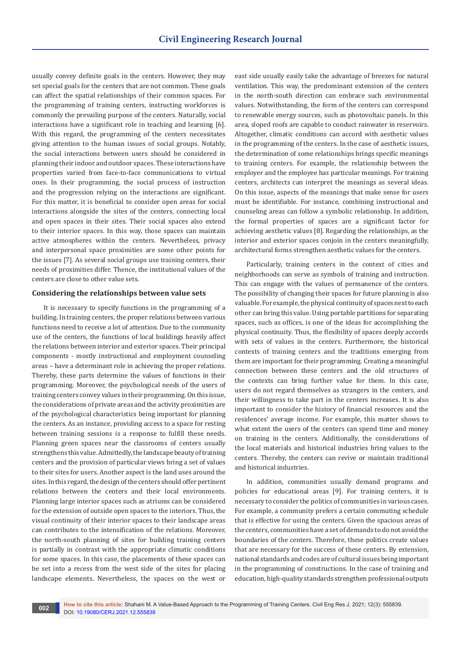usually convey definite goals in the centers. However, they may set special goals for the centers that are not common. These goals can affect the spatial relationships of their common spaces. For the programming of training centers, instructing workforces is commonly the prevailing purpose of the centers. Naturally, social interactions have a significant role in teaching and learning [6]. With this regard, the programming of the centers necessitates giving attention to the human issues of social groups. Notably, the social interactions between users should be considered in planning their indoor and outdoor spaces. These interactions have properties varied from face-to-face communications to virtual ones. In their programming, the social process of instruction and the progression relying on the interactions are significant. For this matter, it is beneficial to consider open areas for social interactions alongside the sites of the centers, connecting local and open spaces in their sites. Their social spaces also extend to their interior spaces. In this way, those spaces can maintain active atmospheres within the centers. Nevertheless, privacy and interpersonal space proximities are some other points for the issues [7]. As several social groups use training centers, their needs of proximities differ. Thence, the institutional values of the centers are close to other value sets.

## **Considering the relationships between value sets**

It is necessary to specify functions in the programming of a building. In training centers, the proper relations between various functions need to receive a lot of attention. Due to the community use of the centers, the functions of local buildings heavily affect the relations between interior and exterior spaces. Their principal components - mostly instructional and employment counseling areas – have a determinant role in achieving the proper relations. Thereby, these parts determine the values of functions in their programming. Moreover, the psychological needs of the users of training centers convey values in their programming. On this issue, the considerations of private areas and the activity proximities are of the psychological characteristics being important for planning the centers. As an instance, providing access to a space for resting between training sessions is a response to fulfill these needs. Planning green spaces near the classrooms of centers usually strengthens this value. Admittedly, the landscape beauty of training centers and the provision of particular views bring a set of values to their sites for users. Another aspect is the land uses around the sites. In this regard, the design of the centers should offer pertinent relations between the centers and their local environments. Planning large interior spaces such as atriums can be considered for the extension of outside open spaces to the interiors. Thus, the visual continuity of their interior spaces to their landscape areas can contributes to the intensification of the relations. Moreover, the north-south planning of sites for building training centers is partially in contrast with the appropriate climatic conditions for some spaces. In this case, the placements of these spaces can be set into a recess from the west side of the sites for placing landscape elements. Nevertheless, the spaces on the west or

east side usually easily take the advantage of breezes for natural ventilation. This way, the predominant extension of the centers in the north-south direction can embrace such environmental values. Notwithstanding, the form of the centers can correspond to renewable energy sources, such as photovoltaic panels. In this area, sloped roofs are capable to conduct rainwater in reservoirs. Altogether, climatic conditions can accord with aesthetic values in the programming of the centers. In the case of aesthetic issues, the determination of some relationships brings specific meanings to training centers. For example, the relationship between the employer and the employee has particular meanings. For training centers, architects can interpret the meanings as several ideas. On this issue, aspects of the meanings that make sense for users must be identifiable. For instance, combining instructional and counseling areas can follow a symbolic relationship. In addition, the formal properties of spaces are a significant factor for achieving aesthetic values [8]. Regarding the relationships, as the interior and exterior spaces conjoin in the centers meaningfully, architectural forms strengthen aesthetic values for the centers.

Particularly, training centers in the context of cities and neighborhoods can serve as symbols of training and instruction. This can engage with the values of permanence of the centers. The possibility of changing their spaces for future planning is also valuable. For example, the physical continuity of spaces next to each other can bring this value. Using portable partitions for separating spaces, such as offices, is one of the ideas for accomplishing the physical continuity. Thus, the flexibility of spaces deeply accords with sets of values in the centers. Furthermore, the historical contexts of training centers and the traditions emerging from them are important for their programming. Creating a meaningful connection between these centers and the old structures of the contexts can bring further value for them. In this case, users do not regard themselves as strangers in the centers, and their willingness to take part in the centers increases. It is also important to consider the history of financial resources and the residences' average income. For example, this matter shows to what extent the users of the centers can spend time and money on training in the centers. Additionally, the considerations of the local materials and historical industries bring values to the centers. Thereby, the centers can revive or maintain traditional and historical industries.

In addition, communities usually demand programs and policies for educational areas [9]. For training centers, it is necessary to consider the politics of communities in various cases. For example, a community prefers a certain commuting schedule that is effective for using the centers. Given the spacious areas of the centers, communities have a set of demands to do not avoid the boundaries of the centers. Therefore, these politics create values that are necessary for the success of these centers. By extension, national standards and codes are of cultural issues being important in the programming of constructions. In the case of training and education, high-quality standards strengthen professional outputs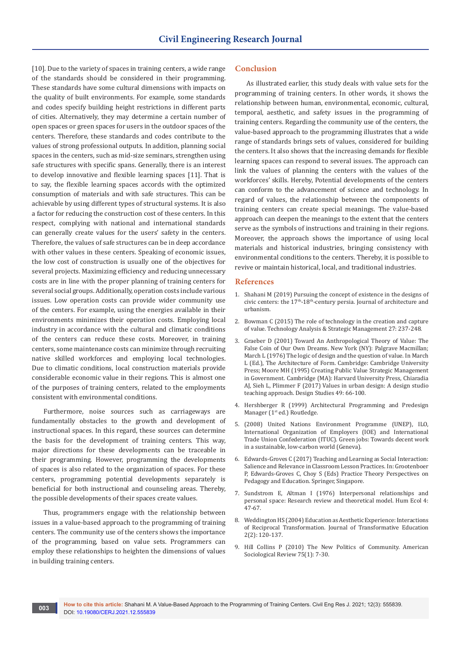[10]. Due to the variety of spaces in training centers, a wide range of the standards should be considered in their programming. These standards have some cultural dimensions with impacts on the quality of built environments. For example, some standards and codes specify building height restrictions in different parts of cities. Alternatively, they may determine a certain number of open spaces or green spaces for users in the outdoor spaces of the centers. Therefore, these standards and codes contribute to the values of strong professional outputs. In addition, planning social spaces in the centers, such as mid-size seminars, strengthen using safe structures with specific spans. Generally, there is an interest to develop innovative and flexible learning spaces [11]. That is to say, the flexible learning spaces accords with the optimized consumption of materials and with safe structures. This can be achievable by using different types of structural systems. It is also a factor for reducing the construction cost of these centers. In this respect, complying with national and international standards can generally create values for the users' safety in the centers. Therefore, the values of safe structures can be in deep accordance with other values in these centers. Speaking of economic issues, the low cost of construction is usually one of the objectives for several projects. Maximizing efficiency and reducing unnecessary costs are in line with the proper planning of training centers for several social groups. Additionally, operation costs include various issues. Low operation costs can provide wider community use of the centers. For example, using the energies available in their environments minimizes their operation costs. Employing local industry in accordance with the cultural and climatic conditions of the centers can reduce these costs. Moreover, in training centers, some maintenance costs can minimize through recruiting native skilled workforces and employing local technologies. Due to climatic conditions, local construction materials provide considerable economic value in their regions. This is almost one of the purposes of training centers, related to the employments consistent with environmental conditions.

Furthermore, noise sources such as carriageways are fundamentally obstacles to the growth and development of instructional spaces. In this regard, these sources can determine the basis for the development of training centers. This way, major directions for these developments can be traceable in their programming. However, programming the developments of spaces is also related to the organization of spaces. For these centers, programming potential developments separately is beneficial for both instructional and counseling areas. Thereby, the possible developments of their spaces create values.

Thus, programmers engage with the relationship between issues in a value-based approach to the programming of training centers. The community use of the centers shows the importance of the programming, based on value sets. Programmers can employ these relationships to heighten the dimensions of values in building training centers.

#### **Conclusion**

As illustrated earlier, this study deals with value sets for the programming of training centers. In other words, it shows the relationship between human, environmental, economic, cultural, temporal, aesthetic, and safety issues in the programming of training centers. Regarding the community use of the centers, the value-based approach to the programming illustrates that a wide range of standards brings sets of values, considered for building the centers. It also shows that the increasing demands for flexible learning spaces can respond to several issues. The approach can link the values of planning the centers with the values of the workforces' skills. Hereby, Potential developments of the centers can conform to the advancement of science and technology. In regard of values, the relationship between the components of training centers can create special meanings. The value-based approach can deepen the meanings to the extent that the centers serve as the symbols of instructions and training in their regions. Moreover, the approach shows the importance of using local materials and historical industries, bringing consistency with environmental conditions to the centers. Thereby, it is possible to revive or maintain historical, local, and traditional industries.

#### **References**

- 1. [Shahani M \(2019\) Pursuing the concept of existence in the designs of](https://journals.vgtu.lt/index.php/JAU/article/view/10365)  civic centers: the  $17<sup>th</sup>$ -18<sup>th</sup>-century persia. Journal of architecture and [urbanism.](https://journals.vgtu.lt/index.php/JAU/article/view/10365)
- 2. [Bowman C \(2015\) The role of technology in the creation and capture](https://www.tandfonline.com/doi/full/10.1080/09537325.2014.963547)  [of value. Technology Analysis & Strategic Management 27: 237-248.](https://www.tandfonline.com/doi/full/10.1080/09537325.2014.963547)
- 3. Graeber D (2001) Toward An Anthropological Theory of Value: The False Coin of Our Own Dreams. New York (NY): Palgrave Macmillan; March L (1976) The logic of design and the question of value. In March L (Ed.), The Architecture of Form. Cambridge: Cambridge University Press; Moore MH (1995) Creating Public Value Strategic Management in Government. Cambridge (MA): Harvard University Press, Chiaradia AJ, Sieh L, Plimmer F (2017) Values in urban design: A design studio teaching approach. Design Studies 49: 66-100.
- 4. Hershberger R (1999) Architectural Programming and Predesign Manager (1<sup>st</sup> ed.) Routledge.
- 5. (2008) United Nations Environment Programme (UNEP), ILO, International Organization of Employers (IOE) and International Trade Union Confederation (ITUC). Green jobs: Towards decent work in a sustainable, low-carbon world (Geneva).
- 6. Edwards-Groves C (2017) Teaching and Learning as Social Interaction: Salience and Relevance in Classroom Lesson Practices. In: Grootenboer P, Edwards-Groves C, Choy S (Eds) Practice Theory Perspectives on Pedagogy and Education. Springer, Singapore.
- 7. [Sundstrom E, Altman I \(1976\) Interpersonal relationships and](https://www.jstor.org/stable/4602344)  [personal space: Research review and theoretical model. Hum Ecol 4:](https://www.jstor.org/stable/4602344)  [47-67.](https://www.jstor.org/stable/4602344)
- 8. [Weddington HS \(2004\) Education as Aesthetic Experience: Interactions](https://journals.sagepub.com/doi/abs/10.1177/1541344603262714)  [of Reciprocal Transformation. Journal of Transformative Education](https://journals.sagepub.com/doi/abs/10.1177/1541344603262714)  [2\(2\): 120-137.](https://journals.sagepub.com/doi/abs/10.1177/1541344603262714)
- 9. Hill Collins P (2010) The New Politics of Community. American Sociological Review 75(1): 7-30.